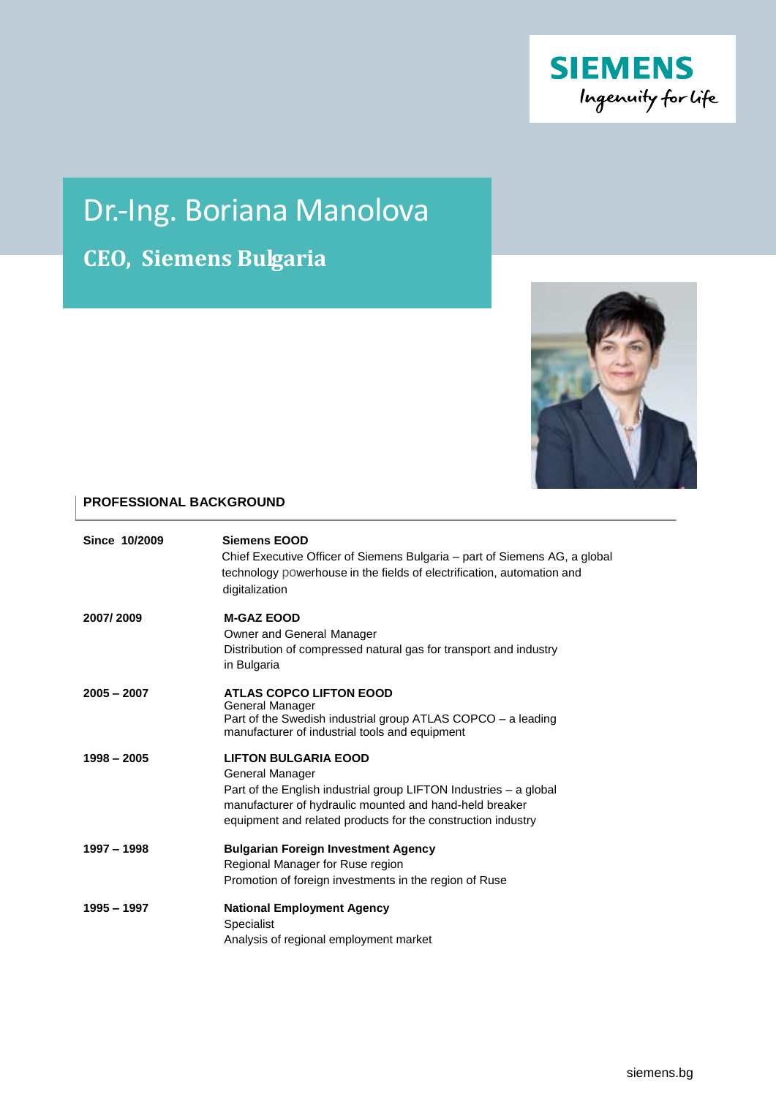

# Dr.-Ing. Boriana Manolova

**CEO, Siemens Bulgaria**



## **PROFESSIONAL BACKGROUND**

| Since 10/2009 | <b>Siemens EOOD</b><br>Chief Executive Officer of Siemens Bulgaria – part of Siemens AG, a global<br>technology powerhouse in the fields of electrification, automation and<br>digitalization                                                  |
|---------------|------------------------------------------------------------------------------------------------------------------------------------------------------------------------------------------------------------------------------------------------|
| 2007/2009     | <b>M-GAZ EOOD</b><br>Owner and General Manager<br>Distribution of compressed natural gas for transport and industry<br>in Bulgaria                                                                                                             |
| $2005 - 2007$ | <b>ATLAS COPCO LIFTON EOOD</b><br>General Manager<br>Part of the Swedish industrial group ATLAS COPCO - a leading<br>manufacturer of industrial tools and equipment                                                                            |
| $1998 - 2005$ | <b>LIFTON BULGARIA EOOD</b><br>General Manager<br>Part of the English industrial group LIFTON Industries – a global<br>manufacturer of hydraulic mounted and hand-held breaker<br>equipment and related products for the construction industry |
| 1997 - 1998   | <b>Bulgarian Foreign Investment Agency</b><br>Regional Manager for Ruse region<br>Promotion of foreign investments in the region of Ruse                                                                                                       |
| 1995 - 1997   | <b>National Employment Agency</b><br>Specialist<br>Analysis of regional employment market                                                                                                                                                      |